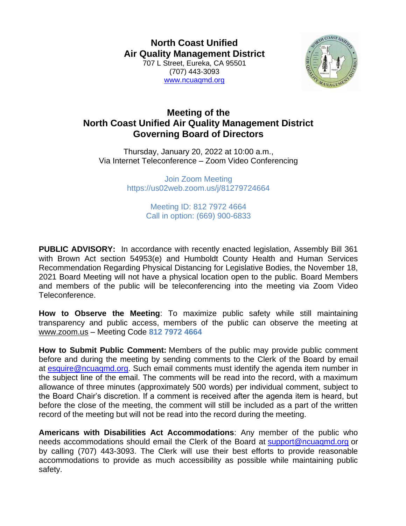**North Coast Unified Air Quality Management District** 707 L Street, Eureka, CA 95501 (707) 443-3093 [www.ncuaqmd.org](http://www.ncuaqmd.org/)



## **Meeting of the North Coast Unified Air Quality Management District Governing Board of Directors**

Thursday, January 20, 2022 at 10:00 a.m., Via Internet Teleconference – Zoom Video Conferencing

> Join Zoom Meeting https://us02web.zoom.us/j/81279724664

> > Meeting ID: 812 7972 4664 Call in option: (669) 900-6833

**PUBLIC ADVISORY:** In accordance with recently enacted legislation, Assembly Bill 361 with Brown Act section 54953(e) and Humboldt County Health and Human Services Recommendation Regarding Physical Distancing for Legislative Bodies, the November 18, 2021 Board Meeting will not have a physical location open to the public. Board Members and members of the public will be teleconferencing into the meeting via Zoom Video Teleconference.

**How to Observe the Meeting**: To maximize public safety while still maintaining transparency and public access, members of the public can observe the meeting at [www.zoom.us](http://www.zoom.us/) – Meeting Code **812 7972 4664**

**How to Submit Public Comment:** Members of the public may provide public comment before and during the meeting by sending comments to the Clerk of the Board by email at [esquire@ncuaqmd.org.](mailto:esquire@ncuaqmd.org) Such email comments must identify the agenda item number in the subject line of the email. The comments will be read into the record, with a maximum allowance of three minutes (approximately 500 words) per individual comment, subject to the Board Chair's discretion. If a comment is received after the agenda item is heard, but before the close of the meeting, the comment will still be included as a part of the written record of the meeting but will not be read into the record during the meeting.

**Americans with Disabilities Act Accommodations**: Any member of the public who needs accommodations should email the Clerk of the Board at [support@ncuaqmd.org](mailto:support@ncuaqmd.org) or by calling (707) 443-3093. The Clerk will use their best efforts to provide reasonable accommodations to provide as much accessibility as possible while maintaining public safety.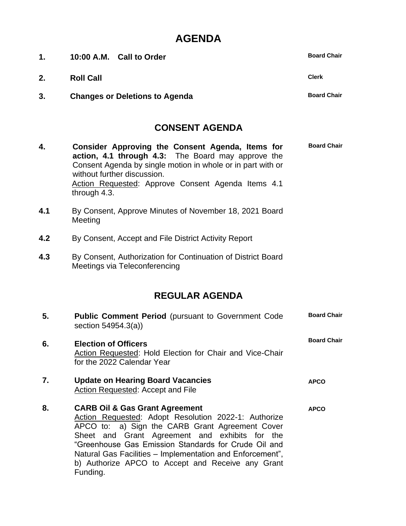## **AGENDA**

| 1.  | 10:00 A.M. Call to Order                                                                                                                                                                                                                                                                                                                                                                     | <b>Board Chair</b> |
|-----|----------------------------------------------------------------------------------------------------------------------------------------------------------------------------------------------------------------------------------------------------------------------------------------------------------------------------------------------------------------------------------------------|--------------------|
| 2.  | <b>Roll Call</b>                                                                                                                                                                                                                                                                                                                                                                             | <b>Clerk</b>       |
| 3.  | <b>Changes or Deletions to Agenda</b>                                                                                                                                                                                                                                                                                                                                                        | <b>Board Chair</b> |
|     | <b>CONSENT AGENDA</b>                                                                                                                                                                                                                                                                                                                                                                        |                    |
| 4.  | Consider Approving the Consent Agenda, Items for<br>action, 4.1 through 4.3: The Board may approve the<br>Consent Agenda by single motion in whole or in part with or<br>without further discussion.<br>Action Requested: Approve Consent Agenda Items 4.1<br>through 4.3.                                                                                                                   | <b>Board Chair</b> |
| 4.1 | By Consent, Approve Minutes of November 18, 2021 Board<br>Meeting                                                                                                                                                                                                                                                                                                                            |                    |
| 4.2 | By Consent, Accept and File District Activity Report                                                                                                                                                                                                                                                                                                                                         |                    |
| 4.3 | By Consent, Authorization for Continuation of District Board<br>Meetings via Teleconferencing                                                                                                                                                                                                                                                                                                |                    |
|     | <b>REGULAR AGENDA</b>                                                                                                                                                                                                                                                                                                                                                                        |                    |
| 5.  | <b>Public Comment Period</b> (pursuant to Government Code<br>section 54954.3(a))                                                                                                                                                                                                                                                                                                             | <b>Board Chair</b> |
| 6.  | <b>Election of Officers</b><br>Action Requested: Hold Election for Chair and Vice-Chair<br>for the 2022 Calendar Year                                                                                                                                                                                                                                                                        | <b>Board Chair</b> |
| 7.  | <b>Update on Hearing Board Vacancies</b><br><b>Action Requested: Accept and File</b>                                                                                                                                                                                                                                                                                                         | <b>APCO</b>        |
| 8.  | <b>CARB Oil &amp; Gas Grant Agreement</b><br>Action Requested: Adopt Resolution 2022-1: Authorize<br>APCO to: a) Sign the CARB Grant Agreement Cover<br>Sheet and Grant Agreement and exhibits for the<br>"Greenhouse Gas Emission Standards for Crude Oil and<br>Natural Gas Facilities – Implementation and Enforcement",<br>b) Authorize APCO to Accept and Receive any Grant<br>Funding. | <b>APCO</b>        |